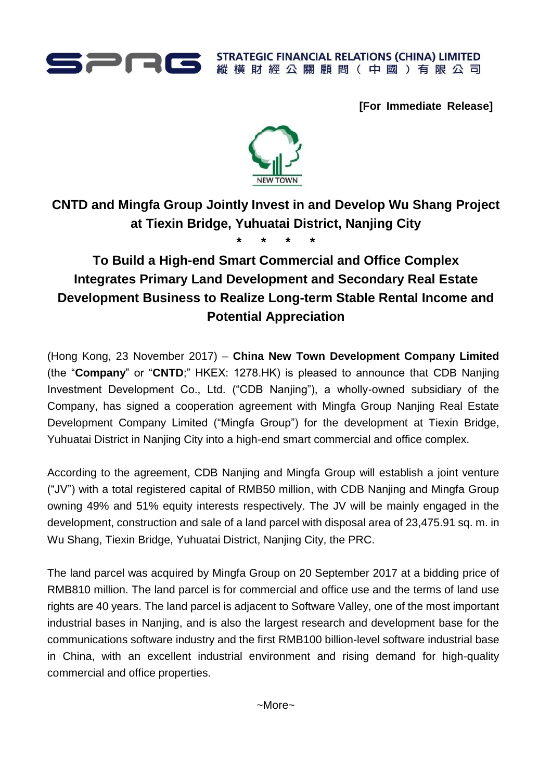

**STRATEGIC FINANCIAL RELATIONS (CHINA) LIMITED** 縱橫財經公關顧問(中國)有限公司

**[For Immediate Release]**



## **CNTD and Mingfa Group Jointly Invest in and Develop Wu Shang Project at Tiexin Bridge, Yuhuatai District, Nanjing City**

**\* \* \* \***

## **To Build a High-end Smart Commercial and Office Complex Integrates Primary Land Development and Secondary Real Estate Development Business to Realize Long-term Stable Rental Income and Potential Appreciation**

(Hong Kong, 23 November 2017) – **China New Town Development Company Limited**  (the "**Company**" or "**CNTD**;" HKEX: 1278.HK) is pleased to announce that CDB Nanjing Investment Development Co., Ltd. ("CDB Nanjing"), a wholly-owned subsidiary of the Company, has signed a cooperation agreement with Mingfa Group Nanjing Real Estate Development Company Limited ("Mingfa Group") for the development at Tiexin Bridge, Yuhuatai District in Nanjing City into a high-end smart commercial and office complex.

According to the agreement, CDB Nanjing and Mingfa Group will establish a joint venture ("JV") with a total registered capital of RMB50 million, with CDB Nanjing and Mingfa Group owning 49% and 51% equity interests respectively. The JV will be mainly engaged in the development, construction and sale of a land parcel with disposal area of 23,475.91 sq. m. in Wu Shang, Tiexin Bridge, Yuhuatai District, Nanjing City, the PRC.

The land parcel was acquired by Mingfa Group on 20 September 2017 at a bidding price of RMB810 million. The land parcel is for commercial and office use and the terms of land use rights are 40 years. The land parcel is adjacent to Software Valley, one of the most important industrial bases in Nanjing, and is also the largest research and development base for the communications software industry and the first RMB100 billion-level software industrial base in China, with an excellent industrial environment and rising demand for high-quality commercial and office properties.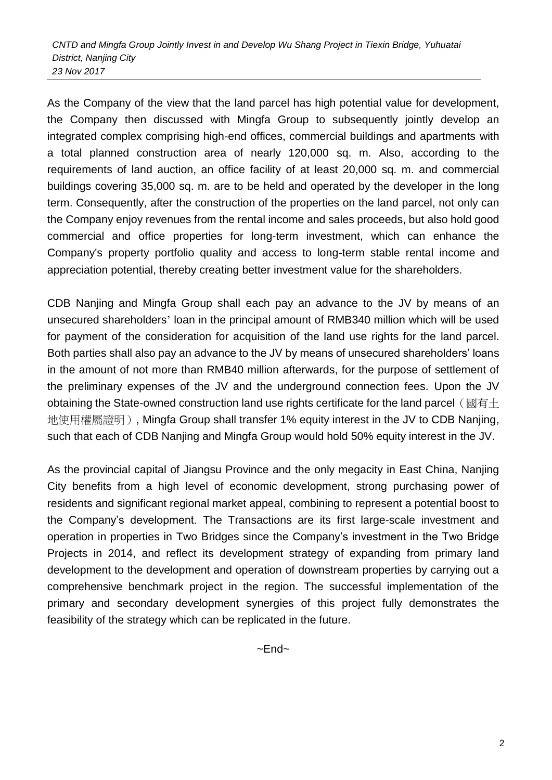As the Company of the view that the land parcel has high potential value for development, the Company then discussed with Mingfa Group to subsequently jointly develop an integrated complex comprising high-end offices, commercial buildings and apartments with a total planned construction area of nearly 120,000 sq. m. Also, according to the requirements of land auction, an office facility of at least 20,000 sq. m. and commercial buildings covering 35,000 sq. m. are to be held and operated by the developer in the long term. Consequently, after the construction of the properties on the land parcel, not only can the Company enjoy revenues from the rental income and sales proceeds, but also hold good commercial and office properties for long-term investment, which can enhance the Company's property portfolio quality and access to long-term stable rental income and appreciation potential, thereby creating better investment value for the shareholders.

CDB Nanjing and Mingfa Group shall each pay an advance to the JV by means of an unsecured shareholders' loan in the principal amount of RMB340 million which will be used for payment of the consideration for acquisition of the land use rights for the land parcel. Both parties shall also pay an advance to the JV by means of unsecured shareholders' loans in the amount of not more than RMB40 million afterwards, for the purpose of settlement of the preliminary expenses of the JV and the underground connection fees. Upon the JV obtaining the State-owned construction land use rights certificate for the land parcel (國有十 地使用權屬證明), Mingfa Group shall transfer 1% equity interest in the JV to CDB Nanjing, such that each of CDB Nanjing and Mingfa Group would hold 50% equity interest in the JV.

As the provincial capital of Jiangsu Province and the only megacity in East China, Nanjing City benefits from a high level of economic development, strong purchasing power of residents and significant regional market appeal, combining to represent a potential boost to the Company's development. The Transactions are its first large-scale investment and operation in properties in Two Bridges since the Company's investment in the Two Bridge Projects in 2014, and reflect its development strategy of expanding from primary land development to the development and operation of downstream properties by carrying out a comprehensive benchmark project in the region. The successful implementation of the primary and secondary development synergies of this project fully demonstrates the feasibility of the strategy which can be replicated in the future.

 $\neg$ End $\neg$